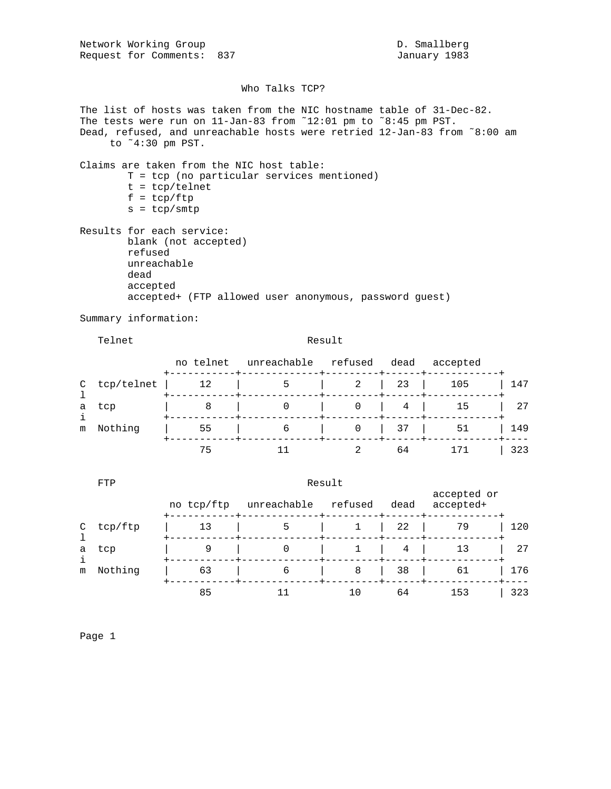Network Working Group and D. Smallberg D. Smallberg Request for Comments: 837 January 1983

## Who Talks TCP?

The list of hosts was taken from the NIC hostname table of 31-Dec-82. The tests were run on 11-Jan-83 from ˜12:01 pm to ˜8:45 pm PST. Dead, refused, and unreachable hosts were retried 12-Jan-83 from ˜8:00 am to ˜4:30 pm PST. Claims are taken from the NIC host table: T = tcp (no particular services mentioned) t = tcp/telnet  $f = \text{tcp}/\text{ftp}$  $s = tcp/smtp$ Results for each service: blank (not accepted) refused unreachable dead accepted accepted+ (FTP allowed user anonymous, password guest) Summary information: Telnet Result no telnet unreachable refused dead accepted +-----------+-------------+---------+------+------------+

|   |           | C tcp/telnet   12   5   2   23   105   147 |  |           |  |
|---|-----------|--------------------------------------------|--|-----------|--|
| a | tcp       | 8   0   0   4   15   27                    |  |           |  |
|   | m Nothing |                                            |  |           |  |
|   |           |                                            |  | 171   323 |  |

|               | FTP     | Result     |             |         |      |                          |     |  |
|---------------|---------|------------|-------------|---------|------|--------------------------|-----|--|
|               |         | no tcp/ftp | unreachable | refused | dead | accepted or<br>accepted+ |     |  |
| $\mathcal{C}$ | tcp/ftp | 13         | 5           |         | 22   | 79                       | 120 |  |
| a<br>i<br>m   | tcp     | 9          |             |         | 4    | 13                       | 27  |  |
|               | Nothing | 63         | 6           | 8       | 38   | 61                       | 176 |  |
|               |         | 85         |             | 10      | 64   | 153                      | 323 |  |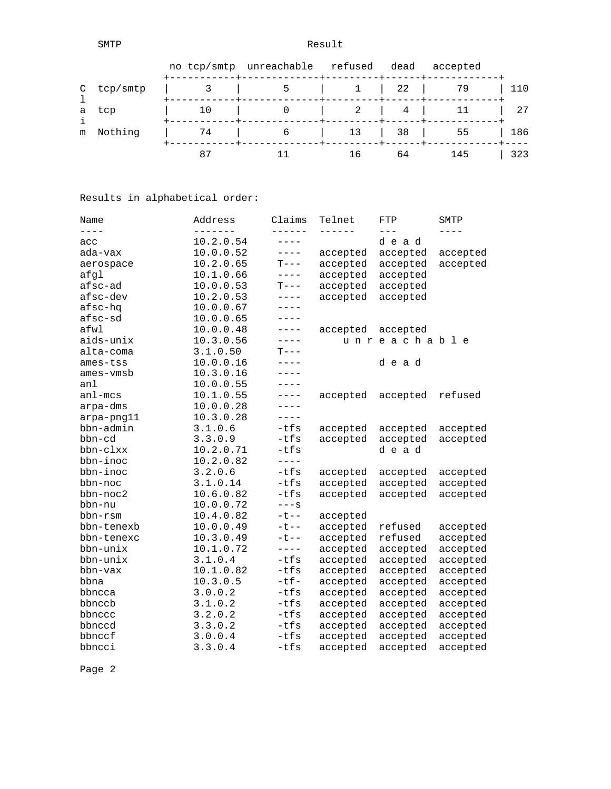SMTP Result

|   |            |    | no tcp/smtp unreachable refused |    | dead                                | accepted |     |
|---|------------|----|---------------------------------|----|-------------------------------------|----------|-----|
|   | C tcp/smtp |    |                                 |    | $\begin{array}{ccc} \end{array}$ 22 | 79       | 110 |
|   | a tcp      | 10 |                                 |    | 4                                   |          | 27  |
| m | Nothing    | 74 | b                               | 13 | $\vert$ 38                          | 55       | 186 |
|   |            | 87 |                                 | 16 | 64                                  | 145      | 323 |

Results in alphabetical order:

| Name        | Address   | Claims    | Telnet        | FTP         | SMTP      |
|-------------|-----------|-----------|---------------|-------------|-----------|
| $---$       | -------   | ------    | $- - - - - -$ | $---$       | $- - - -$ |
| acc         | 10.2.0.54 | $---$     |               | dead        |           |
| ada-vax     | 10.0.0.52 | $---$     | accepted      | accepted    | accepted  |
| aerospace   | 10.2.0.65 | $T---$    | accepted      | accepted    | accepted  |
| afgl        | 10.1.0.66 | $- - - -$ | accepted      | accepted    |           |
| afsc-ad     | 10.0.0.53 | $T---$    | accepted      | accepted    |           |
| afsc-dev    | 10.2.0.53 | $- - - -$ | accepted      | accepted    |           |
| afsc-hq     | 10.0.0.67 | $---$     |               |             |           |
| afsc-sd     | 10.0.0.65 | $---$     |               |             |           |
| afwl        | 10.0.0.48 | $---$     | accepted      | accepted    |           |
| aids-unix   | 10.3.0.56 | $---$     |               | unreachable |           |
| alta-coma   | 3.1.0.50  | $T---$    |               |             |           |
| ames-tss    | 10.0.0.16 | $- - - -$ |               | dead        |           |
| ames-vmsb   | 10.3.0.16 | $- - - -$ |               |             |           |
| anl         | 10.0.0.55 | $- - - -$ |               |             |           |
| $an1 - mcs$ | 10.1.0.55 | $---$     | accepted      | accepted    | refused   |
| arpa-dms    | 10.0.0.28 | ----      |               |             |           |
| arpa-png11  | 10.3.0.28 | $---$     |               |             |           |
| bbn-admin   | 3.1.0.6   | $-tfs$    | accepted      | accepted    | accepted  |
| bbn-cd      | 3.3.0.9   | $-tfs$    | accepted      | accepted    | accepted  |
| bbn-clxx    | 10.2.0.71 | $-tfs$    |               | dead        |           |
| bbn-inoc    | 10.2.0.82 | $- - - -$ |               |             |           |
| bbn-inoc    | 3.2.0.6   | $-tfs$    | accepted      | accepted    | accepted  |
| bbn-noc     | 3.1.0.14  | $-tfs$    | accepted      | accepted    | accepted  |
| bbn-noc2    | 10.6.0.82 | $-tfs$    | accepted      | accepted    | accepted  |
| bbn-nu      | 10.0.0.72 | $---S$    |               |             |           |
| bbn-rsm     | 10.4.0.82 | $-t$ $-$  | accepted      |             |           |
| bbn-tenexb  | 10.0.0.49 | $- t - -$ | accepted      | refused     | accepted  |
| bbn-tenexc  | 10.3.0.49 | $-t$ --   | accepted      | refused     | accepted  |
| bbn-unix    | 10.1.0.72 | $- - - -$ | accepted      | accepted    | accepted  |
| bbn-unix    | 3.1.0.4   | $-tfs$    | accepted      | accepted    | accepted  |
| bbn-vax     | 10.1.0.82 | $-tfs$    | accepted      | accepted    | accepted  |
| bbna        | 10.3.0.5  | $-tf-$    | accepted      | accepted    | accepted  |
| bbncca      | 3.0.0.2   | $-tfs$    | accepted      | accepted    | accepted  |
| bbnccb      | 3.1.0.2   | $-tfs$    | accepted      | accepted    | accepted  |
| bbnccc      | 3.2.0.2   | -tfs      | accepted      | accepted    | accepted  |
| bbnccd      | 3.3.0.2   | $-tfs$    | accepted      | accepted    | accepted  |
| bbnccf      | 3.0.0.4   | $-tfs$    | accepted      | accepted    | accepted  |
| bbncci      | 3.3.0.4   | $-tfs$    | accepted      | accepted    | accepted  |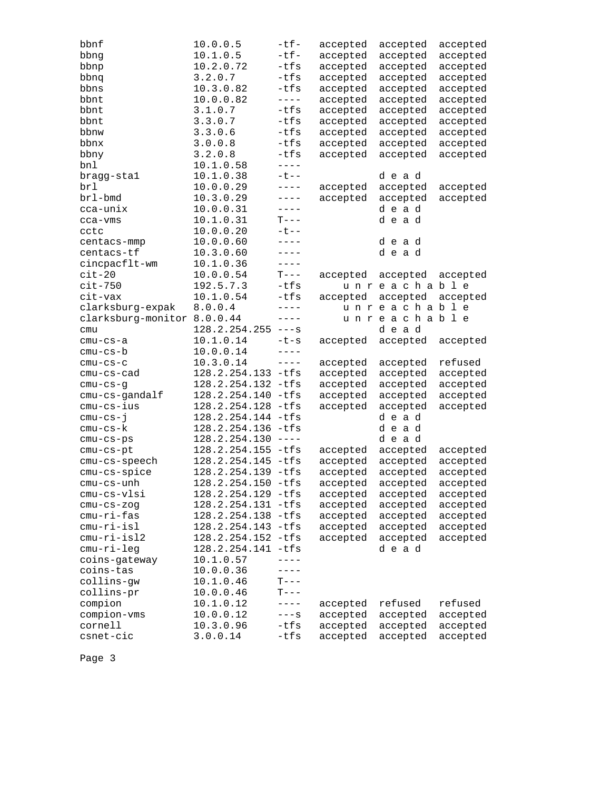| bbnf                        | 10.0.0.5             | $-tf-$      | accepted | accepted    | accepted |
|-----------------------------|----------------------|-------------|----------|-------------|----------|
| bbng                        | 10.1.0.5             | $-tf-$      | accepted | accepted    | accepted |
| bbnp                        | 10.2.0.72            | $-tfs$      | accepted | accepted    | accepted |
| bbnq                        | 3.2.0.7              | $-tfs$      | accepted | accepted    | accepted |
| bbns                        | 10.3.0.82            | -tfs        | accepted | accepted    | accepted |
| bbnt                        | 10.0.0.82            | $- - - -$   | accepted | accepted    | accepted |
| bbnt                        | 3.1.0.7              | $-tfs$      | accepted | accepted    | accepted |
| bbnt                        | 3.3.0.7              | $-tfs$      | accepted | accepted    | accepted |
| bbnw                        | 3.3.0.6              | $-tfs$      | accepted | accepted    | accepted |
| bbnx                        | 3.0.0.8              | $-tfs$      | accepted | accepted    | accepted |
| bbny                        | 3.2.0.8              | -tfs        | accepted | accepted    | accepted |
| bnl                         | 10.1.0.58            | $- - - -$   |          |             |          |
| bragg-stal                  | 10.1.0.38            | $-t$ $-$    |          | dead        |          |
| brl                         | 10.0.0.29            | $- - - -$   | accepted | accepted    | accepted |
| brl-bmd                     | 10.3.0.29            | $- - - - -$ | accepted | accepted    | accepted |
| cca-unix                    | 10.0.0.31            | $- - - - -$ |          | dead        |          |
| cca-vms                     | 10.1.0.31            | $T---$      |          | dead        |          |
| cctc                        | 10.0.0.20            | $-t$ --     |          |             |          |
| centacs-mmp                 | 10.0.0.60            | $---$       |          | dead        |          |
| centacs-tf                  | 10.3.0.60            | $---$       |          | dead        |          |
| cincpacflt-wm               | 10.1.0.36            | $- - - - -$ |          |             |          |
| $cit-20$                    | 10.0.0.54            | $T---$      | accepted | accepted    | accepted |
| $cit-750$                   | 192.5.7.3            | $-tfs$      |          | unreachable |          |
| cit-vax                     | 10.1.0.54            | $-tfs$      | accepted | accepted    | accepted |
| clarksburg-expak            | 8.0.0.4              | $---$       |          | unreachable |          |
| clarksburg-monitor 8.0.0.44 |                      | $- - - - -$ |          | unreachable |          |
| cmu                         | $128.2.254.255$ ---s |             |          | dead        |          |
| $cmu-cs-a$                  | 10.1.0.14            | $-t-s$      | accepted | accepted    | accepted |
| cmu-cs-b                    | 10.0.0.14            | $- - - - -$ |          |             |          |
| $cmu-cs-c$                  | 10.3.0.14            | $- - - -$   | accepted | accepted    | refused  |
| $cmu-cs-cad$                | 128.2.254.133 -tfs   |             | accepted | accepted    | accepted |
| cmu-cs-g                    | 128.2.254.132 -tfs   |             | accepted | accepted    | accepted |
| cmu-cs-gandalf              | 128.2.254.140 -tfs   |             | accepted | accepted    | accepted |
| cmu-cs-ius                  | 128.2.254.128 -tfs   |             | accepted | accepted    | accepted |
| $cmu-cs-j$                  | 128.2.254.144 -tfs   |             |          | dead        |          |
| $cmu-cs-k$                  | 128.2.254.136 -tfs   |             |          | dead        |          |
| $cmu-cs-ps$                 | $128.2.254.130$ ---- |             |          | dead        |          |
| $cmu-cs-pt$                 | 128.2.254.155 -tfs   |             | accepted | accepted    | accepted |
| cmu-cs-speech               | 128.2.254.145 -tfs   |             | accepted | accepted    | accepted |
| cmu-cs-spice                | 128.2.254.139 -tfs   |             | accepted | accepted    | accepted |
| cmu-cs-unh                  | 128.2.254.150 -tfs   |             | accepted | accepted    | accepted |
| cmu-cs-vlsi                 | 128.2.254.129 -tfs   |             | accepted | accepted    | accepted |
| $cmu-cs-zog$                | 128.2.254.131 -tfs   |             | accepted | accepted    | accepted |
| cmu-ri-fas                  | 128.2.254.138 -tfs   |             | accepted | accepted    | accepted |
| cmu-ri-isl                  | 128.2.254.143 -tfs   |             | accepted | accepted    | accepted |
| cmu-ri-isl2                 | 128.2.254.152 -tfs   |             | accepted | accepted    | accepted |
| cmu-ri-leg                  | 128.2.254.141 -tfs   |             |          | dead        |          |
| coins-gateway               | 10.1.0.57            | $- - - -$   |          |             |          |
| coins-tas                   | 10.0.0.36            |             |          |             |          |
| collins-gw                  | 10.1.0.46            | $T---$      |          |             |          |
| collins-pr                  | 10.0.0.46            | $T---$      |          |             |          |
| compion                     | 10.1.0.12            | $---$       | accepted | refused     | refused  |
| compion-vms                 | 10.0.0.12            | $---S$      | accepted | accepted    | accepted |
| cornell                     | 10.3.0.96            | $-tfs$      | accepted | accepted    | accepted |
| csnet-cic                   | 3.0.0.14             | $-tfs$      | accepted | accepted    | accepted |
|                             |                      |             |          |             |          |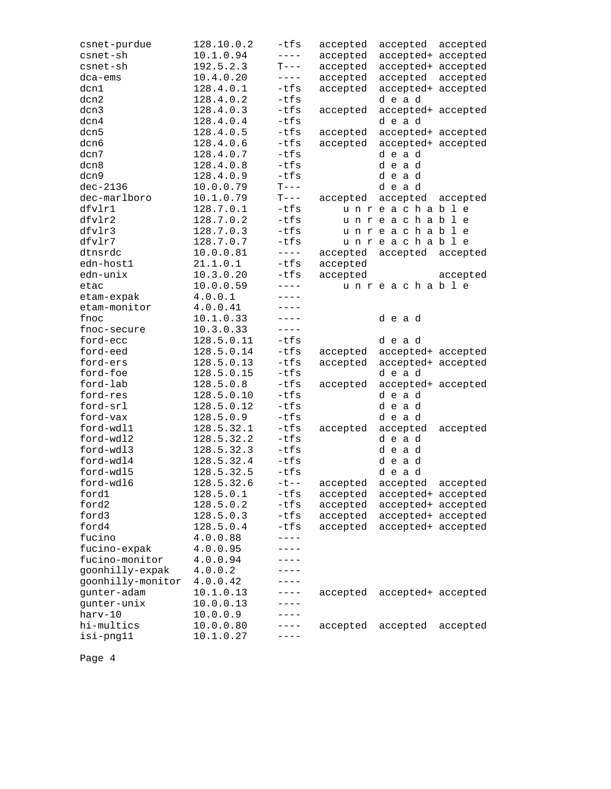| csnet-purdue      | 128.10.0.2 | -tfs             | accepted | accepted                   | accepted |
|-------------------|------------|------------------|----------|----------------------------|----------|
| csnet-sh          | 10.1.0.94  | $- - - -$        | accepted | accepted+ accepted         |          |
| csnet-sh          | 192.5.2.3  | $T---$           | accepted | accepted+ accepted         |          |
| dca-ems           | 10.4.0.20  | $- - - -$        | accepted | accepted                   | accepted |
| dcn1              | 128.4.0.1  | $-tfs$           | accepted | accepted+ accepted         |          |
| dcn2              | 128.4.0.2  | $-tfs$           |          | dead                       |          |
| dcn3              | 128.4.0.3  | $-tfs$           | accepted | accepted+ accepted         |          |
| dcn4              | 128.4.0.4  | $-tfs$           |          | dead                       |          |
| dcn5              | 128.4.0.5  | $-tfs$           | accepted | accepted+ accepted         |          |
| dcn6              | 128.4.0.6  | $-tfs$           | accepted | accepted+ accepted         |          |
| dcn7              | 128.4.0.7  | -tfs             |          | dead                       |          |
| dcn8              | 128.4.0.8  | $-tfs$           |          | dead                       |          |
| dcn9              | 128.4.0.9  | $-tfs$           |          | dead                       |          |
| $dec-2136$        | 10.0.0.79  | $T---$           |          | dead                       |          |
| dec-marlboro      | 10.1.0.79  | $T---$           | accepted | accepted                   | accepted |
| dfvlr1            | 128.7.0.1  | -tfs             |          | unreachable                |          |
| dfvlr2            | 128.7.0.2  | -tfs             |          | unreachable                |          |
| dfvlr3            | 128.7.0.3  | $-tfs$           |          | unreachable                |          |
| dfvlr7            | 128.7.0.7  | $-tfs$           |          | unreachable                |          |
| dtnsrdc           | 10.0.0.81  | $- - - - -$      | accepted | accepted                   | accepted |
| edn-host1         | 21.1.0.1   | $-tfs$           | accepted |                            |          |
| edn-unix          | 10.3.0.20  | -tfs             | accepted |                            | accepted |
| etac              | 10.0.0.59  | $- - - -$        |          | unreachable                |          |
| etam-expak        | 4.0.0.1    | $- - - -$        |          |                            |          |
| etam-monitor      | 4.0.0.41   | $---$            |          |                            |          |
| fnoc              | 10.1.0.33  | ----             |          | dead                       |          |
| fnoc-secure       | 10.3.0.33  | $- - - - -$      |          |                            |          |
| ford-ecc          | 128.5.0.11 | $-tfs$           |          | dead                       |          |
| ford-eed          | 128.5.0.14 | -tfs             | accepted | accepted+ accepted         |          |
| ford-ers          | 128.5.0.13 | $-tfs$           | accepted | accepted+ accepted         |          |
| ford-foe          | 128.5.0.15 | $-tfs$           |          | dead                       |          |
| ford-lab          | 128.5.0.8  | $-tfs$           | accepted |                            |          |
| ford-res          | 128.5.0.10 | $-tfs$           |          | accepted+ accepted<br>dead |          |
| ford-srl          | 128.5.0.12 | $-tfs$           |          | dead                       |          |
| ford-vax          | 128.5.0.9  | -tfs             |          | dead                       |          |
|                   |            |                  |          |                            |          |
| ford-wdl1         | 128.5.32.1 | $-tfs$<br>$-tfs$ | accepted | accepted                   | accepted |
| ford-wdl2         | 128.5.32.2 |                  |          | dead                       |          |
| ford-wdl3         | 128.5.32.3 | $-tfs$           |          | dead                       |          |
| ford-wdl4         | 128.5.32.4 | $-tfs$           |          | dead                       |          |
| ford-wdl5         | 128.5.32.5 | $-tfs$           |          | dead                       |          |
| ford-wd16         | 128.5.32.6 | $-t$ - $-$       | accepted | accepted                   | accepted |
| ford1             | 128.5.0.1  | $-tfs$           | accepted | accepted+ accepted         |          |
| ford2             | 128.5.0.2  | $-tfs$           | accepted | accepted+ accepted         |          |
| ford3             | 128.5.0.3  | $-tfs$           | accepted | accepted+ accepted         |          |
| ford4             | 128.5.0.4  | $-tfs$           | accepted | accepted+ accepted         |          |
| fucino            | 4.0.0.88   | $---$            |          |                            |          |
| fucino-expak      | 4.0.0.95   | ----             |          |                            |          |
| fucino-monitor    | 4.0.0.94   | ----             |          |                            |          |
| goonhilly-expak   | 4.0.0.2    | ----             |          |                            |          |
| goonhilly-monitor | 4.0.0.42   | ----             |          |                            |          |
| gunter-adam       | 10.1.0.13  | $-- - -$         | accepted | accepted+ accepted         |          |
| gunter-unix       | 10.0.0.13  |                  |          |                            |          |
| harv-10           | 10.0.0.9   |                  |          |                            |          |
| hi-multics        | 10.0.0.80  | - - - -          | accepted | accepted                   | accepted |
| isi-png11         | 10.1.0.27  |                  |          |                            |          |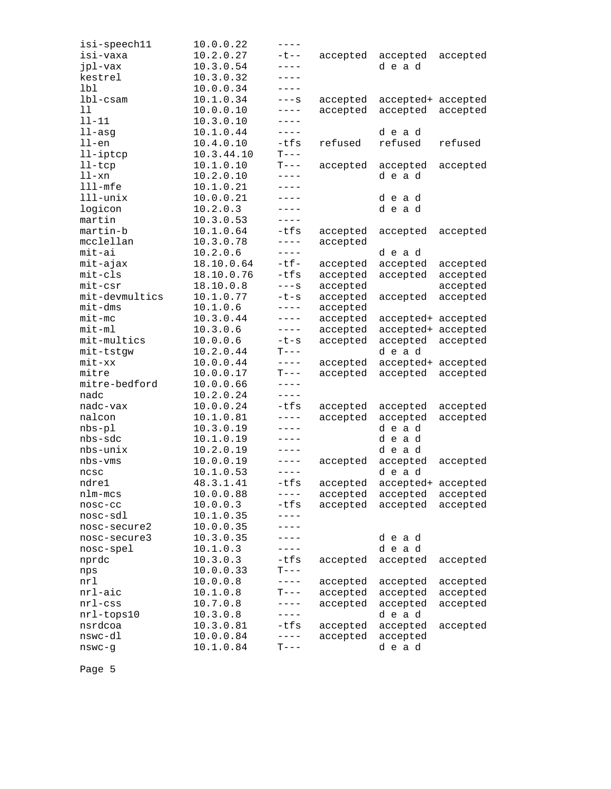| isi-speech11   | 10.0.0.22  | $---$     |          |                    |          |
|----------------|------------|-----------|----------|--------------------|----------|
| isi-vaxa       | 10.2.0.27  | ーセーー      | accepted | accepted           | accepted |
| jpl-vax        | 10.3.0.54  | $---$     |          | dead               |          |
| kestrel        | 10.3.0.32  | $- - - -$ |          |                    |          |
| lbl            | 10.0.0.34  | $---$     |          |                    |          |
| $1b1-cs$ am    | 10.1.0.34  | $---S$    | accepted | accepted+ accepted |          |
| 11             | 10.0.0.10  | $---$     | accepted | accepted           | accepted |
| $11 - 11$      | 10.3.0.10  | $---$     |          |                    |          |
| $11 - asg$     | 10.1.0.44  | $---$     |          | dead               |          |
| $11$ -en       | 10.4.0.10  | $-tfs$    | refused  | refused            | refused  |
| 11-iptcp       | 10.3.44.10 | $T---$    |          |                    |          |
| $l$ l-tc $p$   | 10.1.0.10  | $T---$    | accepted | accepted           | accepted |
| ll-xn          | 10.2.0.10  | $---$     |          | dead               |          |
| $111$ -mfe     | 10.1.0.21  | $---$     |          |                    |          |
| lll-unix       | 10.0.0.21  | $---$     |          |                    |          |
|                |            | ----      |          | dead               |          |
| logicon        | 10.2.0.3   | $---$     |          | dead               |          |
| martin         | 10.3.0.53  |           |          |                    |          |
| martin-b       | 10.1.0.64  | -tfs      | accepted | accepted           | accepted |
| mcclellan      | 10.3.0.78  | $---$     | accepted |                    |          |
| mit-ai         | 10.2.0.6   | $---$     |          | dead               |          |
| mit-ajax       | 18.10.0.64 | $-tf-$    | accepted | accepted           | accepted |
| $mit-cls$      | 18.10.0.76 | -tfs      | accepted | accepted           | accepted |
| $mit-csr$      | 18.10.0.8  | $---S$    | accepted |                    | accepted |
| mit-devmultics | 10.1.0.77  | $-t-s$    | accepted | accepted           | accepted |
| $mit$ -dm $s$  | 10.1.0.6   | $---$     | accepted |                    |          |
| $mit$ -mc      | 10.3.0.44  | $---$     | accepted | accepted+ accepted |          |
| $mit-m1$       | 10.3.0.6   | $---$     | accepted | accepted+ accepted |          |
| mit-multics    | 10.0.0.6   | $-t-s$    | accepted | accepted           | accepted |
| mit-tstgw      | 10.2.0.44  | $T---$    |          | dead               |          |
| $mit$ - $xx$   | 10.0.0.44  | $- - - -$ | accepted | accepted+ accepted |          |
| mitre          | 10.0.0.17  | $T---$    | accepted | accepted           | accepted |
| mitre-bedford  | 10.0.0.66  | $---$     |          |                    |          |
| nadc           | 10.2.0.24  | $---$     |          |                    |          |
| nadc-vax       | 10.0.0.24  | $-tfs$    | accepted | accepted           | accepted |
| nalcon         | 10.1.0.81  | $- - - -$ | accepted | accepted           | accepted |
| $nbs-p1$       | 10.3.0.19  | $---$     |          | dead               |          |
| nbs-sdc        | 10.1.0.19  | ----      |          | dead               |          |
| nbs-unix       | 10.2.0.19  | $---$     |          | dead               |          |
| nbs-vms        | 10.0.0.19  | $---$     |          | accepted           | accepted |
|                |            | $- - - -$ | accepted | dead               |          |
| ncsc           | 10.1.0.53  |           |          |                    |          |
| ndre1          | 48.3.1.41  | -tfs      | accepted | accepted+ accepted |          |
| nlm-mcs        | 10.0.0.88  | $---$     | accepted | accepted           | accepted |
| nosc-cc        | 10.0.0.3   | -tfs      | accepted | accepted           | accepted |
| nosc-sdl       | 10.1.0.35  |           |          |                    |          |
| nosc-secure2   | 10.0.0.35  |           |          |                    |          |
| nosc-secure3   | 10.3.0.35  | ----      |          | dead               |          |
| nosc-spel      | 10.1.0.3   | $---$     |          | dead               |          |
| nprdc          | 10.3.0.3   | -tfs      | accepted | accepted           | accepted |
| nps            | 10.0.0.33  | $T---$    |          |                    |          |
| nrl            | 10.0.0.8   | ----      | accepted | accepted           | accepted |
| nrl-aic        | 10.1.0.8   | T---      | accepted | accepted           | accepted |
| $nrl$ -css     | 10.7.0.8   | $---$     | accepted | accepted           | accepted |
| nrl-tops10     | 10.3.0.8   | $---$     |          | dead               |          |
| nsrdcoa        | 10.3.0.81  | -tfs      | accepted | accepted           | accepted |
| nswc-dl        | 10.0.0.84  | $- - - -$ | accepted | accepted           |          |
| $n$ swc-g      | 10.1.0.84  | $T---$    |          | dead               |          |
|                |            |           |          |                    |          |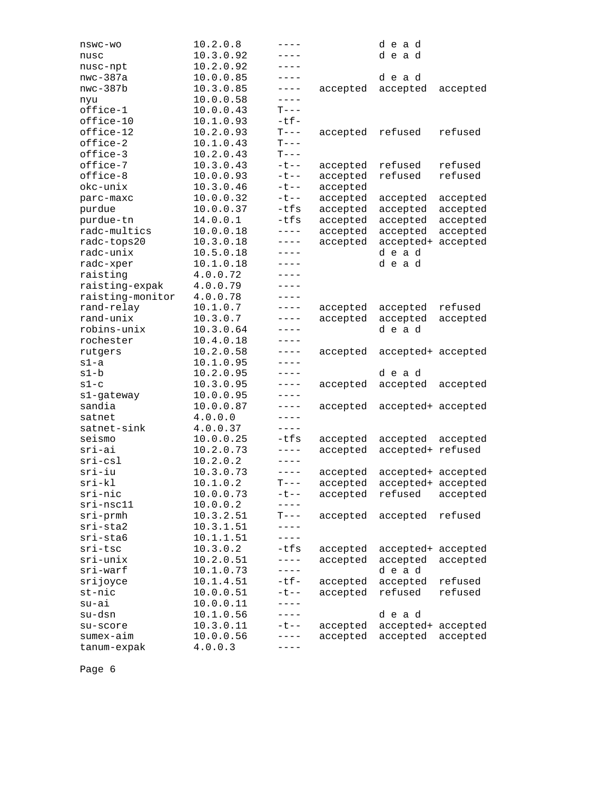| nswc-wo                  | 10.2.0.8               | $---$       |          | dead                |          |
|--------------------------|------------------------|-------------|----------|---------------------|----------|
| nusc                     | 10.3.0.92              | ----        |          | dead                |          |
| nusc-npt                 | 10.2.0.92              | ----        |          |                     |          |
| $nwc-387a$               | 10.0.0.85              | $---$       |          | dead                |          |
| $nwc-387b$               | 10.3.0.85              | $---$       | accepted | accepted            | accepted |
| nyu                      | 10.0.0.58              | $- - - -$   |          |                     |          |
| office-1                 | 10.0.0.43              | $T---$      |          |                     |          |
| office-10                | 10.1.0.93              | $-tf-$      |          |                     |          |
| office-12                | 10.2.0.93              | $T---$      | accepted | refused             | refused  |
| office-2                 | 10.1.0.43              | $T---$      |          |                     |          |
| office-3                 | 10.2.0.43              | $T---$      |          |                     |          |
| office-7                 | 10.3.0.43              | $-t$ $-$    | accepted | refused             | refused  |
| office-8                 | 10.0.0.93              | $-t$ --     | accepted | refused             | refused  |
| okc-unix                 | 10.3.0.46              | $-t$ $-$    | accepted |                     |          |
| parc-maxc                | 10.0.0.32              | $-t$ $-$    | accepted | accepted            | accepted |
| purdue                   | 10.0.0.37              | -tfs        | accepted | accepted            | accepted |
| purdue-tn                | 14.0.0.1               | -tfs        | accepted | accepted            | accepted |
| radc-multics             | 10.0.0.18              | $- - - - -$ | accepted | accepted            | accepted |
| radc-tops20              | 10.3.0.18              | $---$       | accepted | accepted+           | accepted |
| radc-unix                | 10.5.0.18              | $- - - - -$ |          | dead                |          |
| radc-xper                | 10.1.0.18              | $---$       |          | dead                |          |
| raisting                 | 4.0.0.72               | $- - - -$   |          |                     |          |
| raisting-expak           | 4.0.0.79               | $- - - -$   |          |                     |          |
| raisting-monitor         | 4.0.0.78               | $----$      |          |                     |          |
| rand-relay               | 10.1.0.7               | $----$      | accepted | accepted            | refused  |
| rand-unix                | 10.3.0.7               | $---$       | accepted | accepted            | accepted |
| robins-unix              | 10.3.0.64              | $---$       |          | dead                |          |
| rochester                | 10.4.0.18              | $---$       |          |                     |          |
| rutgers                  | 10.2.0.58              | $---$       | accepted | accepted+ accepted  |          |
| s1-a                     | 10.1.0.95              | $----$      |          |                     |          |
| s1-b                     | 10.2.0.95              | $---$       |          | dead                |          |
| $s1-c$                   | 10.3.0.95              | $---$       | accepted | accepted            | accepted |
| s1-gateway               | 10.0.0.95              | $---$       |          |                     |          |
| sandia                   | 10.0.0.87              | $---$       | accepted | accepted+ accepted  |          |
| satnet                   | 4.0.0.0                | $- - - -$   |          |                     |          |
| satnet-sink              | 4.0.0.37               | $- - - -$   |          |                     |          |
| seismo                   | 10.0.0.25              | -tfs        | accepted | accepted            | accepted |
| sri-ai                   | 10.2.0.73              | $---$       | accepted | accepted+ refused   |          |
| $sri-csl$                | 10.2.0.2               | $---$       |          |                     |          |
| sri-iu                   | 10.3.0.73              | $- - - - -$ | accepted | accepted+ accepted  |          |
| $sri-kl$                 | 10.1.0.2               | $T---$      | accepted | accepted+ accepted  |          |
| sri-nic                  | 10.0.0.73              | ーセーー        | accepted | refused             | accepted |
| $sri-nsc11$              | 10.0.0.2               |             |          |                     |          |
| $sri$ -prmh              | 10.3.2.51              | $T---$      | accepted | accepted            | refused  |
| $sri$ -sta $2$           | 10.3.1.51              |             |          |                     |          |
| $sri$ -sta $6$           | 10.1.1.51              | $---$       |          |                     |          |
| sri-tsc                  | 10.3.0.2               | $-tfs$      | accepted | accepted+ accepted  |          |
| sri-unix                 | 10.2.0.51              | $---$       | accepted | accepted            | accepted |
| sri-warf                 | 10.1.0.73              | $---$       |          | dead                |          |
| srijoyce                 | 10.1.4.51              | $-tf-$      |          |                     | refused  |
| $st$ -nic                | 10.0.0.51              | $-t$ --     | accepted | accepted<br>refused | refused  |
|                          |                        | $- - - -$   | accepted |                     |          |
| su-ai                    | 10.0.0.11<br>10.1.0.56 | ----        |          |                     |          |
| su-dsn<br>su-score       |                        |             |          | dead                |          |
|                          |                        |             |          |                     |          |
|                          | 10.3.0.11              | ーセーー        | accepted | accepted+ accepted  |          |
| sumex-aim<br>tanum-expak | 10.0.0.56<br>4.0.0.3   | ----        | accepted | accepted            | accepted |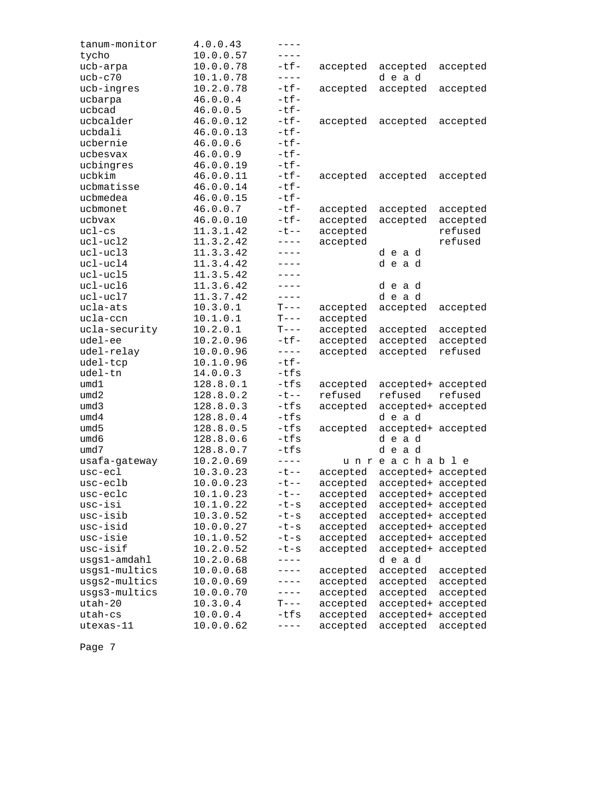| tanum-monitor | 4.0.0.43  | ----      |          |                    |          |
|---------------|-----------|-----------|----------|--------------------|----------|
| tycho         | 10.0.0.57 | $---$     |          |                    |          |
| ucb-arpa      | 10.0.0.78 | -tf-      | accepted | accepted           | accepted |
| $ucb-c70$     | 10.1.0.78 | $- - - -$ |          | dead               |          |
| ucb-ingres    | 10.2.0.78 | $-tf-$    | accepted | accepted           | accepted |
| ucbarpa       | 46.0.0.4  | $-tf-$    |          |                    |          |
| ucbcad        | 46.0.0.5  | $-tf-$    |          |                    |          |
| ucbcalder     | 46.0.0.12 | $-tf-$    | accepted | accepted           | accepted |
| ucbdali       | 46.0.0.13 | $-tf-$    |          |                    |          |
| ucbernie      | 46.0.0.6  | $-tf-$    |          |                    |          |
| ucbesvax      | 46.0.0.9  | $-tf-$    |          |                    |          |
| ucbingres     | 46.0.0.19 | $-tf-$    |          |                    |          |
| ucbkim        | 46.0.0.11 | $-tf-$    | accepted | accepted           | accepted |
| ucbmatisse    | 46.0.0.14 | $-tf-$    |          |                    |          |
| ucbmedea      | 46.0.0.15 | $-tf-$    |          |                    |          |
| ucbmonet      | 46.0.0.7  | $-tf-$    | accepted | accepted           | accepted |
| ucbvax        | 46.0.0.10 | $-tf-$    | accepted | accepted           | accepted |
| $uc1-cs$      | 11.3.1.42 | $-t$ --   | accepted |                    | refused  |
| ucl-ucl2      | 11.3.2.42 | $---$     | accepted |                    | refused  |
| ucl-ucl3      | 11.3.3.42 | $---$     |          | dead               |          |
| $uc1-uc14$    | 11.3.4.42 | $- - - -$ |          | dead               |          |
| ucl-ucl5      | 11.3.5.42 | $- - - -$ |          |                    |          |
| ucl-ucl6      | 11.3.6.42 | $- - - -$ |          | dead               |          |
| ucl-ucl7      | 11.3.7.42 | $---$     |          | dead               |          |
| ucla-ats      | 10.3.0.1  | $T---$    | accepted | accepted           | accepted |
| ucla-ccn      | 10.1.0.1  | $T---$    | accepted |                    |          |
| ucla-security | 10.2.0.1  | $T---$    | accepted | accepted           | accepted |
| udel-ee       | 10.2.0.96 | $-tf-$    | accepted | accepted           | accepted |
| udel-relay    | 10.0.0.96 | $- - - -$ | accepted | accepted           | refused  |
| udel-tcp      | 10.1.0.96 | $-tf-$    |          |                    |          |
| udel-tn       | 14.0.0.3  | $-tfs$    |          |                    |          |
| umd1          | 128.8.0.1 | -tfs      | accepted | accepted+ accepted |          |
| umd2          | 128.8.0.2 | $-t$ $-$  | refused  | refused            | refused  |
| umd3          | 128.8.0.3 | -tfs      | accepted | accepted+          | accepted |
| umd4          | 128.8.0.4 | -tfs      |          | dead               |          |
| umd5          | 128.8.0.5 | -tfs      | accepted | accepted+ accepted |          |
| umd6          | 128.8.0.6 | $-tfs$    |          | dead               |          |
| umd7          | 128.8.0.7 | $-tfs$    |          | dead               |          |
| usafa-gateway | 10.2.0.69 | $---$     |          | unreachable        |          |
| usc-ecl       | 10.3.0.23 | $-t$ $-$  | accepted | accepted+ accepted |          |
| $usc-ec1b$    | 10.0.0.23 | ーセーー      | accepted | accepted+ accepted |          |
| usc-eclc      | 10.1.0.23 | ーセーー      | accepted | accepted+ accepted |          |
| usc-isi       | 10.1.0.22 | $-t-s$    | accepted | accepted+ accepted |          |
| usc-isib      | 10.3.0.52 | $-t-s$    | accepted | accepted+ accepted |          |
| usc-isid      | 10.0.0.27 | $-t-s$    | accepted | accepted+ accepted |          |
| usc-isie      | 10.1.0.52 | $-t-s$    | accepted | accepted+ accepted |          |
| usc-isif      | 10.2.0.52 | $-t-s$    | accepted | accepted+ accepted |          |
| usgs1-amdahl  | 10.2.0.68 |           |          | dead               |          |
| usgs1-multics | 10.0.0.68 | ----      | accepted | accepted           | accepted |
| usgs2-multics | 10.0.0.69 | $---$     | accepted | accepted           | accepted |
| usgs3-multics | 10.0.0.70 | $---$     | accepted | accepted           | accepted |
| utah-20       | 10.3.0.4  | $T---$    | accepted | accepted+          | accepted |
| utah-cs       | 10.0.0.4  | -tfs      | accepted | accepted+          | accepted |
| utexas-11     | 10.0.0.62 | $- - - -$ | accepted | accepted           | accepted |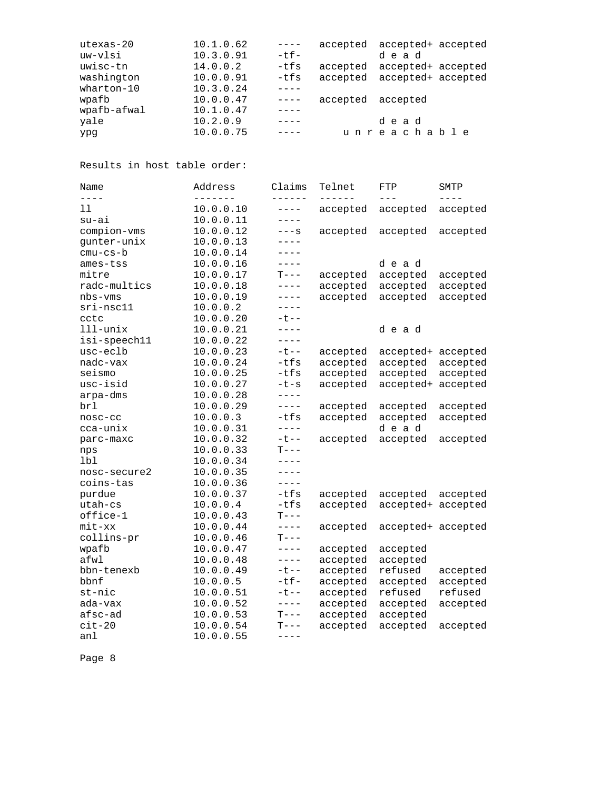| utexas-20   | 10.1.0.62 | $- - - -$   |                   | accepted accepted+ accepted |
|-------------|-----------|-------------|-------------------|-----------------------------|
| uw-vlsi     | 10.3.0.91 | $-t$ $f -$  |                   | dead                        |
| uwisc-tn    | 14.0.0.2  | $-tfs$      |                   | accepted accepted+ accepted |
| washington  | 10.0.0.91 | -tfs        |                   | accepted accepted+ accepted |
| wharton-10  | 10.3.0.24 |             |                   |                             |
| wpafb       | 10.0.0.47 | $- - - - -$ | accepted accepted |                             |
| wpafb-afwal | 10.1.0.47 |             |                   |                             |
| yale        | 10.2.0.9  |             |                   | dead                        |
| ypq         | 10.0.0.75 |             |                   | unreachable                 |

Results in host table order:

| Name         | Address   | Claims      | Telnet   | FTP                | SMTP      |
|--------------|-----------|-------------|----------|--------------------|-----------|
| $- - - -$    | --------  | ------      | ------   | $---$              | $- - - -$ |
| 11           | 10.0.0.10 | $---$       | accepted | accepted           | accepted  |
| su-ai        | 10.0.0.11 | $---$       |          |                    |           |
| compion-vms  | 10.0.0.12 | $---S$      | accepted | accepted           | accepted  |
| gunter-unix  | 10.0.0.13 | $---$       |          |                    |           |
| cmu-cs-b     | 10.0.0.14 | $- - - -$   |          |                    |           |
| ames-tss     | 10.0.0.16 | $---$       |          | dead               |           |
| mitre        | 10.0.0.17 | $T---$      | accepted | accepted           | accepted  |
| radc-multics | 10.0.0.18 | $- - - -$   | accepted | accepted           | accepted  |
| nbs-vms      | 10.0.0.19 | $---$       | accepted | accepted           | accepted  |
| sri-nsc11    | 10.0.0.2  | $---$       |          |                    |           |
| cctc         | 10.0.0.20 | $-t$ $-$    |          |                    |           |
| lll-unix     | 10.0.0.21 | $- - - -$   |          | dead               |           |
| isi-speech11 | 10.0.0.22 | $- - - - -$ |          |                    |           |
| usc-eclb     | 10.0.0.23 | $-t$ $-$    | accepted | accepted+          | accepted  |
| nadc-vax     | 10.0.0.24 | -tfs        | accepted | accepted           | accepted  |
| seismo       | 10.0.0.25 | $-tfs$      | accepted | accepted           | accepted  |
| usc-isid     | 10.0.0.27 | $-t-s$      | accepted | accepted+          | accepted  |
| arpa-dms     | 10.0.0.28 | $---$       |          |                    |           |
| brl          | 10.0.0.29 | $- - - -$   | accepted | accepted           | accepted  |
| nosc-cc      | 10.0.0.3  | -tfs        | accepted | accepted           | accepted  |
| cca-unix     | 10.0.0.31 | $- - - -$   |          | dead               |           |
| parc-maxc    | 10.0.0.32 | $-t$ --     | accepted | accepted           | accepted  |
| nps          | 10.0.0.33 | $T---$      |          |                    |           |
| lbl          | 10.0.0.34 | $- - - -$   |          |                    |           |
| nosc-secure2 | 10.0.0.35 | $- - - -$   |          |                    |           |
| coins-tas    | 10.0.0.36 | $---$       |          |                    |           |
| purdue       | 10.0.0.37 | $-tfs$      | accepted | accepted           | accepted  |
| utah-cs      | 10.0.0.4  | $-tfs$      | accepted | accepted+ accepted |           |
| office-1     | 10.0.0.43 | $T---$      |          |                    |           |
| mit-xx       | 10.0.0.44 | $- - - -$   | accepted | accepted+ accepted |           |
| collins-pr   | 10.0.0.46 | $T---$      |          |                    |           |
| wpafb        | 10.0.0.47 | $- - - - -$ | accepted | accepted           |           |
| afwl         | 10.0.0.48 | $---$       | accepted | accepted           |           |
| bbn-tenexb   | 10.0.0.49 | $-t$ $-$    | accepted | refused            | accepted  |
| bbnf         | 10.0.0.5  | $-tf-$      | accepted | accepted           | accepted  |
| $st$ -nic    | 10.0.0.51 | $-t$ --     | accepted | refused            | refused   |
| ada-vax      | 10.0.0.52 | $- - - -$   | accepted | accepted           | accepted  |
| afsc-ad      | 10.0.0.53 | $T---$      | accepted | accepted           |           |
| $cit-20$     | 10.0.0.54 | $T---$      | accepted | accepted           | accepted  |
| anl          | 10.0.0.55 | $---$       |          |                    |           |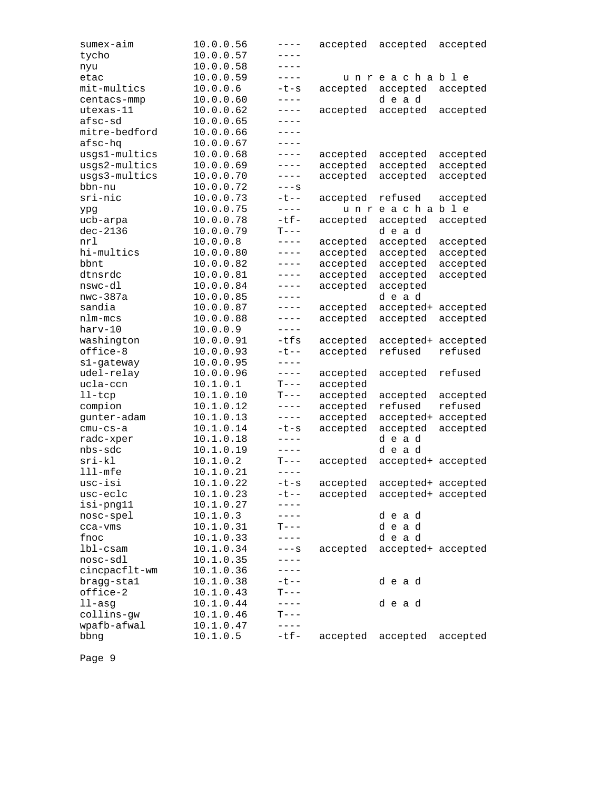| sumex-aim     | 10.0.0.56 | $---$       | accepted | accepted                    | accepted |
|---------------|-----------|-------------|----------|-----------------------------|----------|
| tycho         | 10.0.0.57 | ----        |          |                             |          |
| nyu           | 10.0.0.58 | ----        |          |                             |          |
| etac          | 10.0.0.59 | $---$       |          | unreachable                 |          |
| mit-multics   | 10.0.0.6  | $-t-s$      | accepted | accepted                    | accepted |
| centacs-mmp   | 10.0.0.60 | $- - - -$   |          | dead                        |          |
| utexas-11     | 10.0.0.62 | $---$       | accepted | accepted                    | accepted |
| afsc-sd       | 10.0.0.65 | $---$       |          |                             |          |
| mitre-bedford | 10.0.0.66 | $---$       |          |                             |          |
| afsc-hq       | 10.0.0.67 | $- - - -$   |          |                             |          |
| usgs1-multics | 10.0.0.68 | $---$       | accepted | accepted                    | accepted |
| usgs2-multics | 10.0.0.69 | $---$       | accepted | accepted                    | accepted |
| usgs3-multics | 10.0.0.70 | $---$       | accepted | accepted                    | accepted |
| bbn-nu        | 10.0.0.72 | $---S$      |          |                             |          |
| sri-nic       | 10.0.0.73 | $-t$ $-$    | accepted | refused                     | accepted |
| ypg           | 10.0.0.75 | $---$       |          | unreachable                 |          |
| ucb-arpa      | 10.0.0.78 | $-tf-$      | accepted | accepted                    | accepted |
| $dec-2136$    | 10.0.0.79 | $T---$      |          | dead                        |          |
| nrl           | 10.0.0.8  | $---$       | accepted | accepted                    | accepted |
| hi-multics    | 10.0.0.80 | $---$       | accepted | accepted                    | accepted |
| bbnt          | 10.0.0.82 | $---$       | accepted | accepted                    | accepted |
| dtnsrdc       | 10.0.0.81 | $- - - -$   | accepted | accepted                    | accepted |
| nswc-dl       | 10.0.0.84 | $---$       | accepted | accepted                    |          |
| $nwc-387a$    | 10.0.0.85 | $---$       |          | dead                        |          |
| sandia        | 10.0.0.87 | $- - - -$   | accepted | accepted+                   | accepted |
| nlm-mcs       | 10.0.0.88 | $---$       | accepted | accepted                    | accepted |
| harv-10       | 10.0.0.9  | $---$       |          |                             |          |
| washington    | 10.0.0.91 | $-tfs$      | accepted | accepted+                   | accepted |
| office-8      | 10.0.0.93 | $-t$ $-$    | accepted | refused                     | refused  |
| s1-gateway    | 10.0.0.95 | $- - - -$   |          |                             |          |
| udel-relay    | 10.0.0.96 | $- - - - -$ | accepted | accepted                    | refused  |
| ucla-ccn      | 10.1.0.1  | $T---$      | accepted |                             |          |
| $l$ l-t $cp$  | 10.1.0.10 | $T---$      | accepted | accepted                    | accepted |
| compion       | 10.1.0.12 | $- - - -$   | accepted | refused                     | refused  |
| gunter-adam   | 10.1.0.13 | $---$       | accepted | accepted+                   | accepted |
| $cmu-cs-a$    | 10.1.0.14 | $-t-s$      | accepted | accepted                    | accepted |
| radc-xper     | 10.1.0.18 | $---$       |          | dead                        |          |
| nbs-sdc       | 10.1.0.19 | $---$       |          | dead                        |          |
| $sri-kl$      | 10.1.0.2  | $T---$      | accepted | accepted+ accepted          |          |
| $111 - mfe$   | 10.1.0.21 | $- - - -$   |          |                             |          |
| usc-isi       | 10.1.0.22 | $-t-s$      | accepted | accepted+ accepted          |          |
| usc-eclc      | 10.1.0.23 | ーセーー        |          | accepted accepted+ accepted |          |
| isi-png11     | 10.1.0.27 |             |          |                             |          |
| nosc-spel     | 10.1.0.3  | ----        |          | dead                        |          |
| cca-vms       | 10.1.0.31 | T---        |          | dead                        |          |
| fnoc          | 10.1.0.33 | ----        |          | dead                        |          |
| $1b1-cs$ am   | 10.1.0.34 | –––s        | accepted | accepted+ accepted          |          |
| nosc-sdl      | 10.1.0.35 | $---$       |          |                             |          |
| cincpacflt-wm | 10.1.0.36 | $---$       |          |                             |          |
| bragg-stal    | 10.1.0.38 | ーセーー        |          | dead                        |          |
| office-2      | 10.1.0.43 | $T---$      |          |                             |          |
| $11 - asg$    | 10.1.0.44 | $---$       |          | dead                        |          |
| collins-gw    | 10.1.0.46 | $T---$      |          |                             |          |
| wpafb-afwal   | 10.1.0.47 | $- - - -$   |          |                             |          |
| bbng          | 10.1.0.5  | $-tf-$      | accepted | accepted                    | accepted |
|               |           |             |          |                             |          |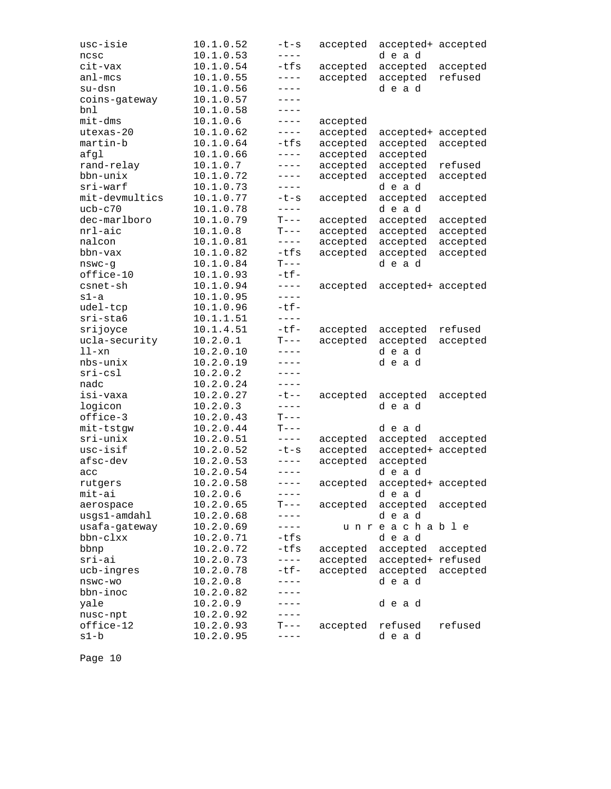| usc-isie       | 10.1.0.52 | $-t-s$      | accepted | accepted+ accepted |          |
|----------------|-----------|-------------|----------|--------------------|----------|
| ncsc           | 10.1.0.53 | ----        |          | dead               |          |
| cit-vax        | 10.1.0.54 | $-tfs$      | accepted | accepted           | accepted |
| $an1 - mcs$    | 10.1.0.55 | $- - - -$   | accepted | accepted           | refused  |
| su-dsn         | 10.1.0.56 | $---$       |          | dead               |          |
| coins-gateway  | 10.1.0.57 | $- - - -$   |          |                    |          |
| bnl            | 10.1.0.58 | $- - - -$   |          |                    |          |
| $mit$ -dms     | 10.1.0.6  | $---$       | accepted |                    |          |
| utexas-20      | 10.1.0.62 | $---$       | accepted | accepted+          | accepted |
| martin-b       | 10.1.0.64 | $-tfs$      | accepted | accepted           | accepted |
| afgl           | 10.1.0.66 | $-- - -$    | accepted | accepted           |          |
| rand-relay     | 10.1.0.7  | $---$       | accepted | accepted           | refused  |
| bbn-unix       | 10.1.0.72 | $---$       | accepted | accepted           | accepted |
| sri-warf       | 10.1.0.73 | $---$       |          | dead               |          |
| mit-devmultics | 10.1.0.77 | $-t-s$      | accepted | accepted           | accepted |
| $ucb-c70$      | 10.1.0.78 | $---$       |          | dead               |          |
| dec-marlboro   | 10.1.0.79 | $T---$      | accepted | accepted           | accepted |
| nrl-aic        | 10.1.0.8  | $T---$      | accepted | accepted           | accepted |
| nalcon         | 10.1.0.81 | $- - - - -$ | accepted | accepted           | accepted |
| bbn-vax        | 10.1.0.82 | $-tfs$      | accepted | accepted           | accepted |
| $n$ swc-g      | 10.1.0.84 | $T---$      |          | dead               |          |
| office-10      | 10.1.0.93 | $-tf-$      |          |                    |          |
| csnet-sh       | 10.1.0.94 | $---$       | accepted | accepted+ accepted |          |
| s1-a           | 10.1.0.95 | $- - - -$   |          |                    |          |
| udel-tcp       | 10.1.0.96 | $-tf-$      |          |                    |          |
| sri-sta6       | 10.1.1.51 | $- - - -$   |          |                    |          |
| srijoyce       | 10.1.4.51 | $-tf-$      | accepted | accepted           | refused  |
| ucla-security  | 10.2.0.1  | $T---$      | accepted | accepted           | accepted |
| $11-xn$        | 10.2.0.10 | $---$       |          | dead               |          |
| nbs-unix       | 10.2.0.19 | $- - - -$   |          | dead               |          |
| $sri-csl$      | 10.2.0.2  | $- - - -$   |          |                    |          |
| nadc           | 10.2.0.24 | $---$       |          |                    |          |
| isi-vaxa       | 10.2.0.27 | $-t$ --     | accepted | accepted           | accepted |
| logicon        | 10.2.0.3  | $- - - -$   |          | dead               |          |
| office-3       | 10.2.0.43 | $T---$      |          |                    |          |
| mit-tstgw      | 10.2.0.44 | $T---$      |          | dead               |          |
| $sri-unix$     | 10.2.0.51 | $---$       | accepted | accepted           | accepted |
| usc-isif       | 10.2.0.52 | $-t-s$      | accepted | accepted+          | accepted |
| afsc-dev       | 10.2.0.53 | $---$       | accepted | accepted           |          |
| acc            | 10.2.0.54 | $- - - -$   |          | dead               |          |
| rutgers        | 10.2.0.58 | $---$       | accepted | accepted+ accepted |          |
| mit-ai         | 10.2.0.6  | ----        |          | dead               |          |
| aerospace      | 10.2.0.65 | $T---$      | accepted | accepted           | accepted |
| usgs1-amdahl   | 10.2.0.68 | $---$       |          | dead               |          |
| usafa-gateway  | 10.2.0.69 | $---$       |          | unreachable        |          |
| bbn-clxx       | 10.2.0.71 | $-tfs$      |          | dead               |          |
| bbnp           | 10.2.0.72 | $-tfs$      | accepted | accepted           | accepted |
| $sri-ai$       | 10.2.0.73 | $- - - -$   | accepted | accepted+ refused  |          |
| ucb-ingres     | 10.2.0.78 | $-tf-$      | accepted | accepted           | accepted |
| nswc-wo        | 10.2.0.8  | $---$       |          | dead               |          |
| bbn-inoc       | 10.2.0.82 | ----        |          |                    |          |
| yale           | 10.2.0.9  | ----        |          | dead               |          |
| nusc-npt       | 10.2.0.92 | $-- - -$    |          |                    |          |
| office-12      | 10.2.0.93 | $T---$      | accepted | refused            | refused  |
| $s1-b$         | 10.2.0.95 | $- - - -$   |          | dead               |          |
|                |           |             |          |                    |          |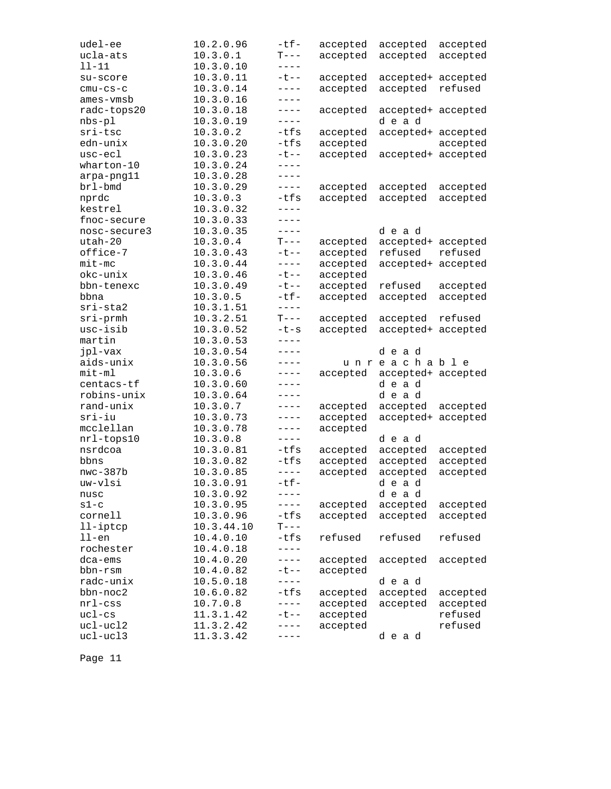| udel-ee              | 10.2.0.96              | $-tf-$     | accepted | accepted           | accepted |
|----------------------|------------------------|------------|----------|--------------------|----------|
| ucla-ats             | 10.3.0.1               | $T---$     | accepted | accepted           | accepted |
| $11 - 11$            | 10.3.0.10              | $---$      |          |                    |          |
| su-score             | 10.3.0.11              | $-t - -$   | accepted | accepted+          | accepted |
| $cmu-cs-c$           | 10.3.0.14              | $---$      | accepted | accepted           | refused  |
| ames-vmsb            | 10.3.0.16              | $---$      |          |                    |          |
| radc-tops20          | 10.3.0.18              | $---$      | accepted | accepted+ accepted |          |
| $nbs-p1$             | 10.3.0.19              | $---$      |          | dead               |          |
| sri-tsc              | 10.3.0.2               | $-tfs$     | accepted | accepted+ accepted |          |
| edn-unix             | 10.3.0.20              | -tfs       | accepted |                    | accepted |
| usc-ecl              | 10.3.0.23              | $-t$ - $-$ | accepted | accepted+ accepted |          |
| wharton-10           | 10.3.0.24              | $- - - -$  |          |                    |          |
| arpa-png11           | 10.3.0.28              | $---$      |          |                    |          |
| brl-bmd              | 10.3.0.29              | $---$      | accepted | accepted           | accepted |
| nprdc                | 10.3.0.3               | -tfs       | accepted | accepted           | accepted |
| kestrel              | 10.3.0.32              | $---$      |          |                    |          |
| fnoc-secure          | 10.3.0.33              | $---$      |          |                    |          |
| nosc-secure3         | 10.3.0.35              | $- - - -$  |          | dead               |          |
| utah-20              | 10.3.0.4               | $T---$     | accepted | accepted+          | accepted |
| office-7             | 10.3.0.43              | $-t$ --    | accepted | refused            | refused  |
| $mit$ -mc            | 10.3.0.44              | $- - - -$  | accepted | accepted+          | accepted |
| okc-unix             | 10.3.0.46              | $-t$ $-$   | accepted |                    |          |
| bbn-tenexc           | 10.3.0.49              | $-t$ $-$   | accepted | refused            | accepted |
| bbna                 | 10.3.0.5               | $-tf-$     | accepted | accepted           | accepted |
| sri-sta2             | 10.3.1.51              | $- - - -$  |          |                    |          |
| $sri$ -prmh          | 10.3.2.51              | $T---$     | accepted | accepted           | refused  |
| usc-isib             | 10.3.0.52              | $-t-s$     | accepted | accepted+          | accepted |
|                      |                        |            |          |                    |          |
|                      |                        |            |          |                    |          |
| martin               | 10.3.0.53              | $---$      |          |                    |          |
| jpl-vax              | 10.3.0.54              | $---$      |          | dead               |          |
| aids-unix            | 10.3.0.56              | $---$      |          | unreachable        |          |
| $mit-m1$             | 10.3.0.6               | $---$      | accepted | accepted+ accepted |          |
| centacs-tf           | 10.3.0.60              | $---$      |          | dead               |          |
| robins-unix          | 10.3.0.64              | $---$      |          | dead               |          |
| rand-unix            | 10.3.0.7               | $---$      | accepted | accepted           | accepted |
| sri-iu               | 10.3.0.73              | $---$      | accepted | accepted+ accepted |          |
| mcclellan            | 10.3.0.78              | $---$      | accepted |                    |          |
| nrl-tops10           | 10.3.0.8               | $---$      |          | dead               |          |
| nsrdcoa              | 10.3.0.81              | -tfs       | accepted | accepted           | accepted |
| bbns                 | 10.3.0.82              | -tfs       | accepted | accepted           | accepted |
| $nwc-387b$           | 10.3.0.85              | $- - - -$  | accepted | accepted           | accepted |
| uw-vlsi              | 10.3.0.91              | $-tf-$     |          | dead               |          |
| nusc                 | 10.3.0.92              | ----       |          | dead               |          |
| $s1-c$               | 10.3.0.95              | $-- - -$   | accepted | accepted           | accepted |
| cornell              | 10.3.0.96              | -tfs       | accepted | accepted           | accepted |
| $11$ -iptcp          | 10.3.44.10             | $T---$     |          |                    |          |
| $11$ -en             | 10.4.0.10              | $-tfs$     | refused  | refused            | refused  |
| rochester            | 10.4.0.18              | $- - - -$  |          |                    |          |
| dca-ems              | 10.4.0.20              | $---$      | accepted | accepted           | accepted |
| bbn-rsm              | 10.4.0.82              | $-t$ --    | accepted |                    |          |
| radc-unix            | 10.5.0.18              | $- - - -$  |          | dead               |          |
| bbn-noc2             | 10.6.0.82              | $-tfs$     | accepted | accepted           | accepted |
| $nrl$ -css           | 10.7.0.8               | $---$      | accepted | accepted           | accepted |
| $uc1-cs$             | 11.3.1.42              | ーセーー       | accepted |                    | refused  |
| ucl-ucl2<br>ucl-ucl3 | 11.3.2.42<br>11.3.3.42 |            | accepted | dead               | refused  |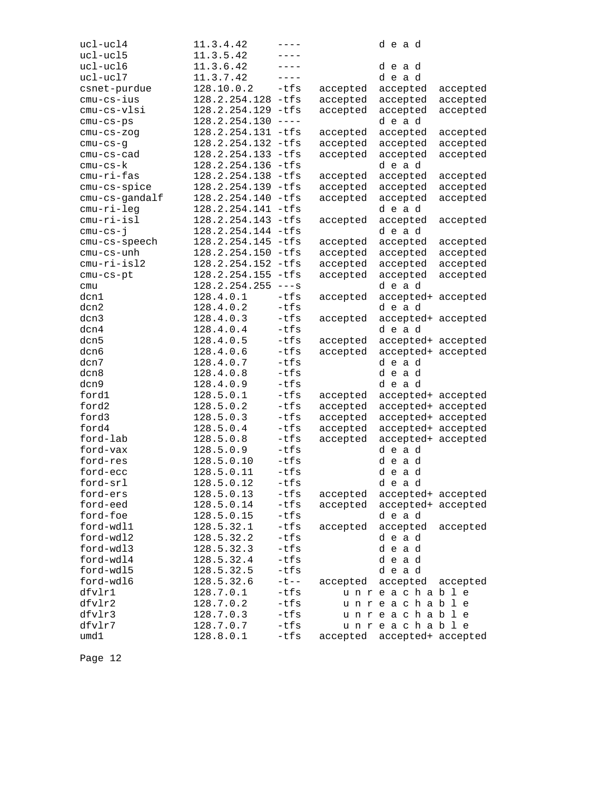| ucl-ucl4       | 11.3.4.42            | ----      |          | dead               |          |
|----------------|----------------------|-----------|----------|--------------------|----------|
| ucl-ucl5       | 11.3.5.42            | ----      |          |                    |          |
| ucl-ucl6       | 11.3.6.42            | $---$     |          | dead               |          |
| ucl-ucl7       | 11.3.7.42            | $- - - -$ |          | dead               |          |
| csnet-purdue   | 128.10.0.2           | -tfs      | accepted | accepted           | accepted |
| cmu-cs-ius     | 128.2.254.128 -tfs   |           | accepted | accepted           | accepted |
| cmu-cs-vlsi    | 128.2.254.129 -tfs   |           | accepted | accepted           | accepted |
| cmu-cs-ps      | 128.2.254.130        | $----$    |          | dead               |          |
| $cmu-cs-zog$   | 128.2.254.131 -tfs   |           | accepted | accepted           | accepted |
| $cmu-cs-g$     | 128.2.254.132 -tfs   |           | accepted | accepted           | accepted |
| $cmu-cs-cad$   | 128.2.254.133        | -tfs      | accepted | accepted           | accepted |
| cmu-cs-k       | 128.2.254.136        | -tfs      |          | dead               |          |
| $cmu-ri-fas$   | 128.2.254.138 -tfs   |           | accepted | accepted           | accepted |
| cmu-cs-spice   | 128.2.254.139        | -tfs      | accepted | accepted           | accepted |
| cmu-cs-gandalf | 128.2.254.140        | $-tfs$    | accepted | accepted           | accepted |
| cmu-ri-leg     | 128.2.254.141        | $-tfs$    |          | dead               |          |
| cmu-ri-isl     | 128.2.254.143        | $-tfs$    | accepted | accepted           | accepted |
| $cmu-cs-j$     | 128.2.254.144 -tfs   |           |          | dead               |          |
| cmu-cs-speech  | 128.2.254.145 -tfs   |           | accepted | accepted           | accepted |
| cmu-cs-unh     | 128.2.254.150        | -tfs      | accepted | accepted           | accepted |
| cmu-ri-isl2    | 128.2.254.152 -tfs   |           | accepted | accepted           | accepted |
| $cmu-cs-pt$    | 128.2.254.155        | -tfs      | accepted | accepted           | accepted |
| cmu            | $128.2.254.255$ ---s |           |          | dead               |          |
| dcn1           | 128.4.0.1            | $-tfs$    | accepted | accepted+ accepted |          |
| dcn2           | 128.4.0.2            | $-tfs$    |          | dead               |          |
| dcn3           | 128.4.0.3            | $-tfs$    | accepted | accepted+ accepted |          |
| dcn4           | 128.4.0.4            | $-tfs$    |          | dead               |          |
| dcn5           | 128.4.0.5            | $-tfs$    | accepted | accepted+ accepted |          |
| dcn6           | 128.4.0.6            | -tfs      | accepted | accepted+ accepted |          |
| dcn7           | 128.4.0.7            | $-tfs$    |          | dead               |          |
| dcn8           | 128.4.0.8            | $-tfs$    |          | dead               |          |
| dcn9           | 128.4.0.9            | -tfs      |          | dead               |          |
| ford1          | 128.5.0.1            | $-tfs$    | accepted | accepted+ accepted |          |
| ford2          | 128.5.0.2            | -tfs      | accepted | accepted+ accepted |          |
| ford3          | 128.5.0.3            | -tfs      | accepted | accepted+ accepted |          |
| ford4          | 128.5.0.4            | -tfs      | accepted | accepted+ accepted |          |
| ford-lab       | 128.5.0.8            | -tfs      | accepted | accepted+ accepted |          |
| ford-vax       | 128.5.0.9            | -tfs      |          | dead               |          |
| ford-res       | 128.5.0.10           | -tfs      |          | dead               |          |
| ford-ecc       | 128.5.0.11           | $-tfs$    |          | dead               |          |
| ford-srl       | 128.5.0.12           | $-tfs$    |          | dead               |          |
| ford-ers       | 128.5.0.13           | -tfs      | accepted | accepted+ accepted |          |
| ford-eed       | 128.5.0.14           | -tfs      | accepted | accepted+ accepted |          |
| ford-foe       | 128.5.0.15           | -tfs      |          | dead               |          |
| ford-wdl1      | 128.5.32.1           | -tfs      | accepted | accepted           | accepted |
| ford-wdl2      | 128.5.32.2           | -tfs      |          | dead               |          |
| ford-wdl3      | 128.5.32.3           | -tfs      |          | dead               |          |
| ford-wdl4      | 128.5.32.4           | $-tfs$    |          | dead               |          |
| ford-wdl5      | 128.5.32.5           | $-tfs$    |          | dead               |          |
| ford-wdl6      | 128.5.32.6           | $-t - -$  | accepted | accepted           | accepted |
| dfvlr1         | 128.7.0.1            | -tfs      |          | unreachable        |          |
| dfvlr2         | 128.7.0.2            | -tfs      |          | unreachable        |          |
| dfvlr3         | 128.7.0.3            | -tfs      |          | unreachable        |          |
| dfvlr7         | 128.7.0.7            | -tfs      |          | unreachable        |          |
| umd1           | 128.8.0.1            | -tfs      | accepted | accepted+ accepted |          |
|                |                      |           |          |                    |          |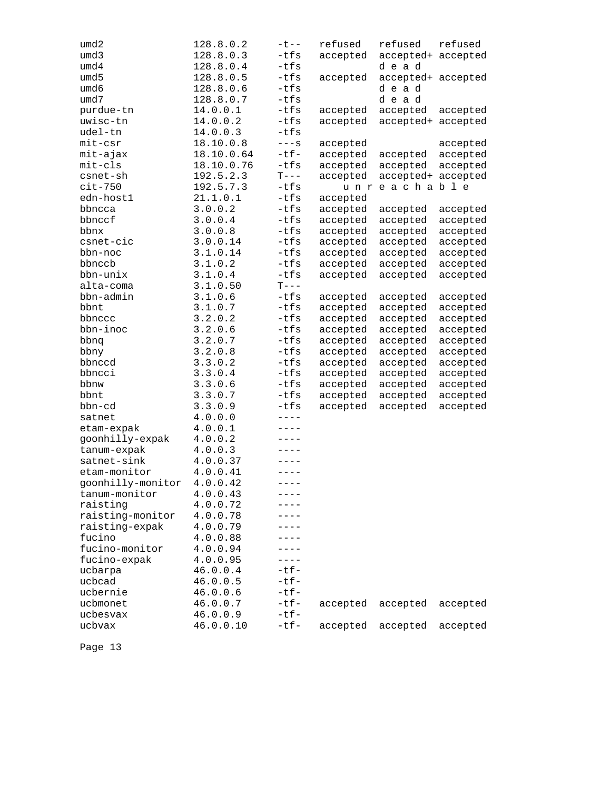| umd2              | 128.8.0.2  | $-t$ --   | refused  | refused            | refused  |
|-------------------|------------|-----------|----------|--------------------|----------|
| umd3              | 128.8.0.3  | -tfs      | accepted | accepted+ accepted |          |
| umd4              | 128.8.0.4  | -tfs      |          | dead               |          |
| umd5              | 128.8.0.5  | -tfs      | accepted | accepted+ accepted |          |
| umd6              | 128.8.0.6  | -tfs      |          | dead               |          |
| umd7              | 128.8.0.7  | -tfs      |          | dead               |          |
| purdue-tn         | 14.0.0.1   | $-tfs$    | accepted | accepted           | accepted |
| uwisc-tn          | 14.0.0.2   | -tfs      | accepted | accepted+ accepted |          |
| udel-tn           | 14.0.0.3   | $-tfs$    |          |                    |          |
| mit-csr           | 18.10.0.8  | $---S$    | accepted |                    | accepted |
| mit-ajax          | 18.10.0.64 | $-tf-$    | accepted | accepted           | accepted |
| mit-cls           | 18.10.0.76 | -tfs      | accepted | accepted           | accepted |
| csnet-sh          | 192.5.2.3  | $T---$    | accepted | accepted+ accepted |          |
| $cit-750$         | 192.5.7.3  | -tfs      | u n r    | eachable           |          |
| edn-host1         | 21.1.0.1   | -tfs      | accepted |                    |          |
| bbncca            | 3.0.0.2    | -tfs      | accepted | accepted           | accepted |
| bbnccf            | 3.0.0.4    | -tfs      | accepted | accepted           | accepted |
| bbnx              | 3.0.0.8    | -tfs      | accepted | accepted           | accepted |
| csnet-cic         | 3.0.0.14   | -tfs      | accepted | accepted           | accepted |
| bbn-noc           | 3.1.0.14   | -tfs      | accepted | accepted           | accepted |
| bbnccb            | 3.1.0.2    | -tfs      | accepted | accepted           | accepted |
| bbn-unix          | 3.1.0.4    | -tfs      | accepted | accepted           | accepted |
| alta-coma         | 3.1.0.50   | $T---$    |          |                    |          |
| bbn-admin         | 3.1.0.6    | -tfs      | accepted | accepted           | accepted |
| bbnt              | 3.1.0.7    | -tfs      | accepted | accepted           | accepted |
| bbnccc            | 3.2.0.2    | -tfs      | accepted | accepted           | accepted |
| bbn-inoc          | 3.2.0.6    | -tfs      | accepted | accepted           | accepted |
| bbnq              | 3.2.0.7    | -tfs      | accepted | accepted           | accepted |
| bbny              | 3.2.0.8    | -tfs      | accepted | accepted           | accepted |
| bbnccd            | 3.3.0.2    | -tfs      | accepted | accepted           | accepted |
| bbncci            | 3.3.0.4    | -tfs      | accepted | accepted           | accepted |
| bbnw              | 3.3.0.6    | -tfs      | accepted | accepted           | accepted |
| bbnt              | 3.3.0.7    | -tfs      | accepted | accepted           | accepted |
| bbn-cd            | 3.3.0.9    | -tfs      | accepted | accepted           | accepted |
| satnet            | 4.0.0.0    | $- - - -$ |          |                    |          |
| etam-expak        | 4.0.0.1    | $- - - -$ |          |                    |          |
| goonhilly-expak   | 4.0.0.2    | $---$     |          |                    |          |
| tanum-expak       | 4.0.0.3    | ----      |          |                    |          |
| satnet-sink       | 4.0.0.37   | $- - - -$ |          |                    |          |
| etam-monitor      | 4.0.0.41   | $- - - -$ |          |                    |          |
| goonhilly-monitor | 4.0.0.42   | $- - - -$ |          |                    |          |
| tanum-monitor     | 4.0.0.43   | ----      |          |                    |          |
| raisting          | 4.0.0.72   |           |          |                    |          |
| raisting-monitor  | 4.0.0.78   |           |          |                    |          |
| raisting-expak    | 4.0.0.79   |           |          |                    |          |
| fucino            | 4.0.0.88   |           |          |                    |          |
| fucino-monitor    | 4.0.0.94   | ----      |          |                    |          |
| fucino-expak      | 4.0.0.95   | $---$     |          |                    |          |
| ucbarpa           | 46.0.0.4   | $-tf-$    |          |                    |          |
| ucbcad            | 46.0.0.5   | $-tf-$    |          |                    |          |
| ucbernie          | 46.0.0.6   | $-tf-$    |          |                    |          |
| ucbmonet          | 46.0.0.7   | $-tf-$    | accepted | accepted           | accepted |
| ucbesvax          | 46.0.0.9   | $-tf-$    |          |                    |          |
| ucbvax            | 46.0.0.10  | $-tf-$    | accepted | accepted           | accepted |
|                   |            |           |          |                    |          |